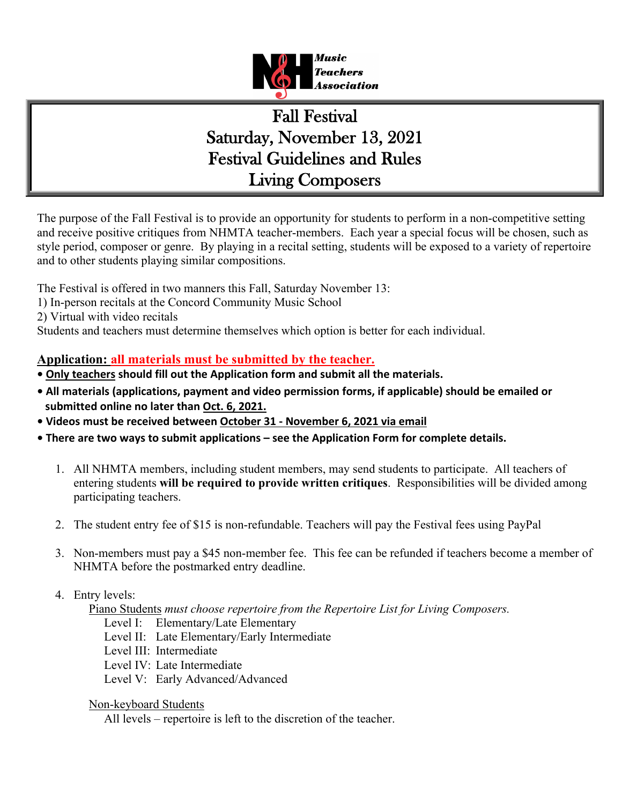

# Fall Festival Saturday, November 13, 2021 Festival Guidelines and Rules Living Composers

The purpose of the Fall Festival is to provide an opportunity for students to perform in a non-competitive setting and receive positive critiques from NHMTA teacher-members. Each year a special focus will be chosen, such as style period, composer or genre. By playing in a recital setting, students will be exposed to a variety of repertoire and to other students playing similar compositions.

The Festival is offered in two manners this Fall, Saturday November 13:

1) In-person recitals at the Concord Community Music School

2) Virtual with video recitals

Students and teachers must determine themselves which option is better for each individual.

## **Application: all materials must be submitted by the teacher.**

- **Only teachers should fill out the Application form and submit all the materials.**
- **All materials (applications, payment and video permission forms, if applicable) should be emailed or submitted online no later than Oct. 6, 2021.**
- **Videos must be received between October 31 - November 6, 2021 via email**
- **There are two ways to submit applications – see the Application Form for complete details.**
	- 1. All NHMTA members, including student members, may send students to participate. All teachers of entering students **will be required to provide written critiques**. Responsibilities will be divided among participating teachers.
	- 2. The student entry fee of \$15 is non-refundable. Teachers will pay the Festival fees using PayPal
	- 3. Non-members must pay a \$45 non-member fee. This fee can be refunded if teachers become a member of NHMTA before the postmarked entry deadline.

## 4. Entry levels:

Piano Students *must choose repertoire from the Repertoire List for Living Composers.*

- Level I: Elementary/Late Elementary
- Level II: Late Elementary/Early Intermediate
- Level III: Intermediate
- Level IV: Late Intermediate
- Level V: Early Advanced/Advanced

#### Non-keyboard Students

All levels – repertoire is left to the discretion of the teacher.